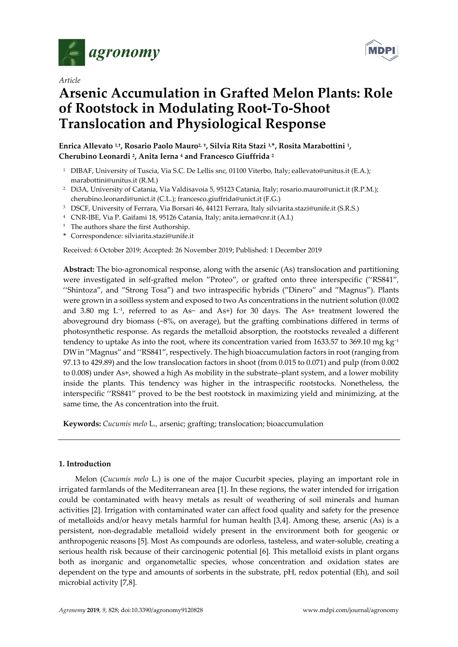

*Article* 

# **Arsenic Accumulation in Grafted Melon Plants: Role of Rootstock in Modulating Root-To-Shoot Translocation and Physiological Response**

**Enrica Allevato 1,†, Rosario Paolo Mauro2, †, Silvia Rita Stazi 3,\*, Rosita Marabottini 1, Cherubino Leonardi 2, Anita Ierna 4 and Francesco Giuffrida 2**

- <sup>1</sup> DIBAF, University of Tuscia, Via S.C. De Lellis snc, 01100 Viterbo, Italy; eallevato@unitus.it (E.A.); marabottini@unitus.it (R.M.)
- <sup>2</sup> Di3A, University of Catania, Via Valdisavoia 5, 95123 Catania, Italy; rosario.mauro@unict.it (R.P.M.); cherubino.leonardi@unict.it (C.L.); francesco.giuffrida@unict.it (F.G.)
- 3 DSCF, University of Ferrara, Via Borsari 46, 44121 Ferrara, Italy silviarita.stazi@unife.it (S.R.S.)
- 4 CNR-IBE, Via P. Gaifami 18, 95126 Catania, Italy; anita.ierna@cnr.it (A.I.)
- † The authors share the first Authorship.
- **\*** Correspondence: silviarita.stazi@unife.it

Received: 6 October 2019; Accepted: 26 November 2019; Published: 1 December 2019

**Abstract:** The bio-agronomical response, along with the arsenic (As) translocation and partitioning were investigated in self-grafted melon ′'Proteo′', or grafted onto three interspecific (''RS841′'*,*  ''Shintoza′', and ′'Strong Tosa′') and two intraspecific hybrids (′'Dinero′' and ′'Magnus′'). Plants were grown in a soilless system and exposed to two As concentrations in the nutrient solution (0.002 and 3.80 mg L−1, referred to as As− and As+) for 30 days. The As+ treatment lowered the aboveground dry biomass (−8%, on average), but the grafting combinations differed in terms of photosynthetic response. As regards the metalloid absorption, the rootstocks revealed a different tendency to uptake As into the root, where its concentration varied from 1633.57 to 369.10 mg kg<sup>-1</sup> DWin ′'Magnus′' and ''RS841′', respectively. The high bioaccumulation factors in root (ranging from 97.13 to 429.89) and the low translocation factors in shoot (from 0.015 to 0.071) and pulp (from 0.002 to 0.008) under As+, showed a high As mobility in the substrate–plant system, and a lower mobility inside the plants. This tendency was higher in the intraspecific rootstocks. Nonetheless, the interspecific ''RS841′' proved to be the best rootstock in maximizing yield and minimizing, at the same time, the As concentration into the fruit.

**Keywords:** *Cucumis melo* L.*,* arsenic; grafting; translocation; bioaccumulation

# **1. Introduction**

Melon (*Cucumis melo* L.) is one of the major Cucurbit species, playing an important role in irrigated farmlands of the Mediterranean area [1]. In these regions, the water intended for irrigation could be contaminated with heavy metals as result of weathering of soil minerals and human activities [2]. Irrigation with contaminated water can affect food quality and safety for the presence of metalloids and/or heavy metals harmful for human health [3,4]. Among these, arsenic (As) is a persistent, non-degradable metalloid widely present in the environment both for geogenic or anthropogenic reasons [5]. Most As compounds are odorless, tasteless, and water-soluble, creating a serious health risk because of their carcinogenic potential [6]. This metalloid exists in plant organs both as inorganic and organometallic species, whose concentration and oxidation states are dependent on the type and amounts of sorbents in the substrate, pH, redox potential (Eh), and soil microbial activity [7,8].

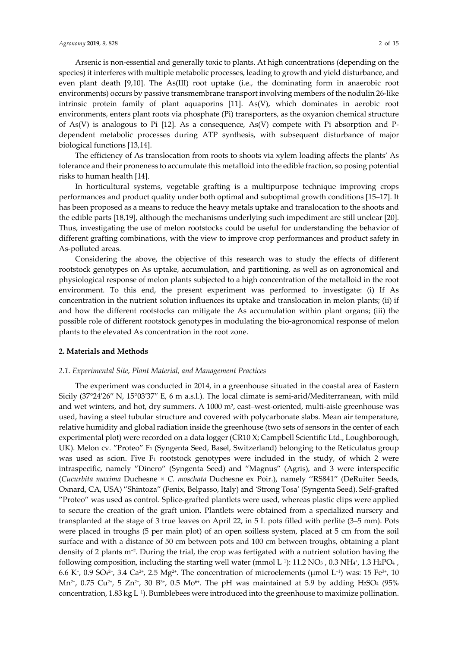Arsenic is non-essential and generally toxic to plants. At high concentrations (depending on the species) it interferes with multiple metabolic processes, leading to growth and yield disturbance, and even plant death [9,10]. The As(III) root uptake (i.e., the dominating form in anaerobic root environments) occurs by passive transmembrane transport involving members of the nodulin 26-like intrinsic protein family of plant aquaporins [11]. As(V), which dominates in aerobic root environments, enters plant roots via phosphate (Pi) transporters, as the oxyanion chemical structure of As(V) is analogous to Pi [12]. As a consequence,  $As(V)$  compete with Pi absorption and Pdependent metabolic processes during ATP synthesis, with subsequent disturbance of major biological functions [13,14].

The efficiency of As translocation from roots to shoots via xylem loading affects the plants' As tolerance and their proneness to accumulate this metalloid into the edible fraction, so posing potential risks to human health [14].

In horticultural systems, vegetable grafting is a multipurpose technique improving crops performances and product quality under both optimal and suboptimal growth conditions [15–17]. It has been proposed as a means to reduce the heavy metals uptake and translocation to the shoots and the edible parts [18,19], although the mechanisms underlying such impediment are still unclear [20]. Thus, investigating the use of melon rootstocks could be useful for understanding the behavior of different grafting combinations, with the view to improve crop performances and product safety in As-polluted areas.

Considering the above, the objective of this research was to study the effects of different rootstock genotypes on As uptake, accumulation, and partitioning, as well as on agronomical and physiological response of melon plants subjected to a high concentration of the metalloid in the root environment. To this end, the present experiment was performed to investigate: (i) If As concentration in the nutrient solution influences its uptake and translocation in melon plants; (ii) if and how the different rootstocks can mitigate the As accumulation within plant organs; (iii) the possible role of different rootstock genotypes in modulating the bio-agronomical response of melon plants to the elevated As concentration in the root zone.

#### **2. Materials and Methods**

# *2.1. Experimental Site, Plant Material, and Management Practices*

The experiment was conducted in 2014, in a greenhouse situated in the coastal area of Eastern Sicily (37°24′26′′ N, 15°03′37′′ E, 6 m a.s.l.). The local climate is semi-arid/Mediterranean, with mild and wet winters, and hot, dry summers. A 1000 m<sup>2</sup>, east-west-oriented, multi-aisle greenhouse was used, having a steel tubular structure and covered with polycarbonate slabs. Mean air temperature, relative humidity and global radiation inside the greenhouse (two sets of sensors in the center of each experimental plot) were recorded on a data logger (CR10 X; Campbell Scientific Ltd., Loughborough, UK). Melon cv. "Proteo" F<sub>1</sub> (Syngenta Seed, Basel, Switzerland) belonging to the Reticulatus group was used as scion. Five  $F_1$  rootstock genotypes were included in the study, of which 2 were intraspecific, namely ′'Dinero′' (Syngenta Seed) and ′'Magnus′' (Agris), and 3 were interspecific (*Cucurbita maxima* Duchesne *× C. moschata* Duchesne ex Poir.), namely ''RS841′' (DeRuiter Seeds, Oxnard, CA, USA) ′'Shintoza′' (Fenix, Belpasso, Italy) and *'*Strong Tosa' (Syngenta Seed). Self-grafted ′'Proteo′' was used as control. Splice-grafted plantlets were used, whereas plastic clips were applied to secure the creation of the graft union. Plantlets were obtained from a specialized nursery and transplanted at the stage of 3 true leaves on April 22, in 5 L pots filled with perlite (3–5 mm). Pots were placed in troughs (5 per main plot) of an open soilless system, placed at 5 cm from the soil surface and with a distance of 50 cm between pots and 100 cm between troughs, obtaining a plant density of 2 plants m−2. During the trial, the crop was fertigated with a nutrient solution having the following composition, including the starting well water (mmol L<sup>-1</sup>): 11.2 NO<sub>3</sub><sup>-</sup>, 0.3 NH<sub>4</sub>+, 1.3 H<sub>2</sub>PO<sub>4</sub><sup>-</sup>, 6.6 K+, 0.9 SO42−, 3.4 Ca2+, 2.5 Mg2+. The concentration of microelements (μmol L−1) was: 15 Fe3+, 10  $Mn^{2+}$ , 0.75 Cu<sup>2+</sup>, 5 Zn<sup>2+</sup>, 30 B<sup>3+</sup>, 0.5 Mo<sup>6+</sup>. The pH was maintained at 5.9 by adding H2SO<sub>4</sub> (95%) concentration, 1.83 kg L−1). Bumblebees were introduced into the greenhouse to maximize pollination.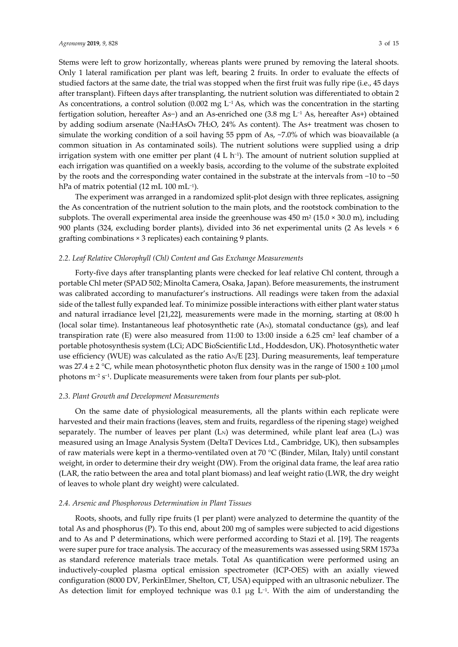Stems were left to grow horizontally, whereas plants were pruned by removing the lateral shoots. Only 1 lateral ramification per plant was left, bearing 2 fruits. In order to evaluate the effects of studied factors at the same date, the trial was stopped when the first fruit was fully ripe (i.e., 45 days after transplant). Fifteen days after transplanting, the nutrient solution was differentiated to obtain 2 As concentrations, a control solution (0.002 mg L−1 As, which was the concentration in the starting fertigation solution, hereafter As−) and an As-enriched one (3.8 mg L−1 As, hereafter As+) obtained by adding sodium arsenate (Na2HAsO4 7H2O, 24% As content). The As+ treatment was chosen to simulate the working condition of a soil having 55 ppm of As, ~7.0% of which was bioavailable (a common situation in As contaminated soils). The nutrient solutions were supplied using a drip

irrigation system with one emitter per plant  $(4 L h^{-1})$ . The amount of nutrient solution supplied at each irrigation was quantified on a weekly basis, according to the volume of the substrate exploited by the roots and the corresponding water contained in the substrate at the intervals from −10 to −50 hPa of matrix potential (12 mL 100 mL<sup>-1</sup>).

The experiment was arranged in a randomized split-plot design with three replicates, assigning the As concentration of the nutrient solution to the main plots, and the rootstock combination to the subplots. The overall experimental area inside the greenhouse was  $450 \text{ m}^2 (15.0 \times 30.0 \text{ m})$ , including 900 plants (324, excluding border plants), divided into 36 net experimental units (2 As levels × 6 grafting combinations × 3 replicates) each containing 9 plants.

## *2.2. Leaf Relative Chlorophyll (Chl) Content and Gas Exchange Measurements*

Forty-five days after transplanting plants were checked for leaf relative Chl content, through a portable Chl meter (SPAD 502; Minolta Camera, Osaka, Japan). Before measurements, the instrument was calibrated according to manufacturer's instructions. All readings were taken from the adaxial side of the tallest fully expanded leaf. To minimize possible interactions with either plant water status and natural irradiance level [21,22], measurements were made in the morning, starting at 08:00 h (local solar time). Instantaneous leaf photosynthetic rate  $(A_N)$ , stomatal conductance  $(gs)$ , and leaf transpiration rate (E) were also measured from  $11:00$  to  $13:00$  inside a 6.25 cm<sup>2</sup> leaf chamber of a portable photosynthesis system (LCi; ADC BioScientific Ltd., Hoddesdon, UK). Photosynthetic water use efficiency (WUE) was calculated as the ratio AN/E [23]. During measurements, leaf temperature was 27.4  $\pm$  2 °C, while mean photosynthetic photon flux density was in the range of 1500  $\pm$  100 µmol photons m−2 s−1. Duplicate measurements were taken from four plants per sub-plot.

## *2.3. Plant Growth and Development Measurements*

On the same date of physiological measurements, all the plants within each replicate were harvested and their main fractions (leaves, stem and fruits, regardless of the ripening stage) weighed separately. The number of leaves per plant  $(L_N)$  was determined, while plant leaf area  $(L_A)$  was measured using an Image Analysis System (DeltaT Devices Ltd., Cambridge, UK), then subsamples of raw materials were kept in a thermo-ventilated oven at 70 °C (Binder, Milan, Italy) until constant weight, in order to determine their dry weight (DW). From the original data frame, the leaf area ratio (LAR, the ratio between the area and total plant biomass) and leaf weight ratio (LWR, the dry weight of leaves to whole plant dry weight) were calculated.

## *2.4. Arsenic and Phosphorous Determination in Plant Tissues*

Roots, shoots, and fully ripe fruits (1 per plant) were analyzed to determine the quantity of the total As and phosphorus (P). To this end, about 200 mg of samples were subjected to acid digestions and to As and P determinations, which were performed according to Stazi et al. [19]. The reagents were super pure for trace analysis. The accuracy of the measurements was assessed using SRM 1573a as standard reference materials trace metals. Total As quantification were performed using an inductively-coupled plasma optical emission spectrometer (ICP-OES) with an axially viewed configuration (8000 DV, PerkinElmer, Shelton, CT, USA) equipped with an ultrasonic nebulizer. The As detection limit for employed technique was 0.1 μg L<sup>-1</sup>. With the aim of understanding the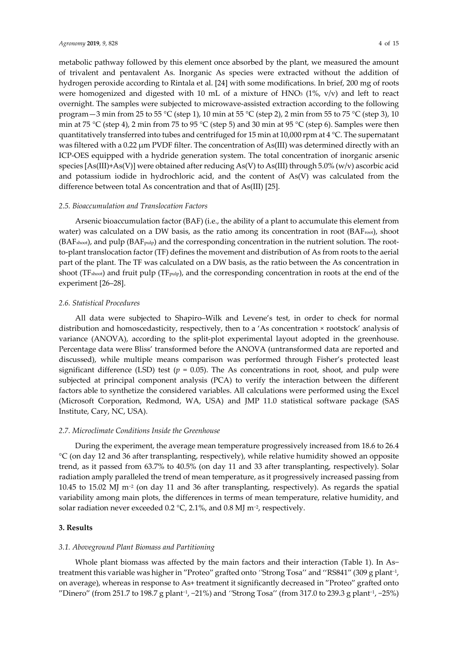metabolic pathway followed by this element once absorbed by the plant, we measured the amount of trivalent and pentavalent As. Inorganic As species were extracted without the addition of hydrogen peroxide according to Rintala et al. [24] with some modifications. In brief, 200 mg of roots were homogenized and digested with 10 mL of a mixture of  $HNO<sub>3</sub>$  (1%, v/v) and left to react overnight. The samples were subjected to microwave-assisted extraction according to the following program  $-3$  min from 25 to 55 °C (step 1), 10 min at 55 °C (step 2), 2 min from 55 to 75 °C (step 3), 10 min at 75 °C (step 4), 2 min from 75 to 95 °C (step 5) and 30 min at 95 °C (step 6). Samples were then quantitatively transferred into tubes and centrifuged for 15 min at 10,000 rpm at 4 °C. The supernatant was filtered with a 0.22  $\mu$ m PVDF filter. The concentration of As(III) was determined directly with an ICP-OES equipped with a hydride generation system. The total concentration of inorganic arsenic species [As(III)+As(V)] were obtained after reducing As(V) to As(III) through 5.0% (w/v) ascorbic acid and potassium iodide in hydrochloric acid, and the content of As(V) was calculated from the difference between total As concentration and that of As(III) [25].

#### *2.5. Bioaccumulation and Translocation Factors*

Arsenic bioaccumulation factor (BAF) (i.e., the ability of a plant to accumulate this element from water) was calculated on a DW basis, as the ratio among its concentration in root (BAF<sub>root</sub>), shoot (BAFshoot), and pulp (BAFpulp) and the corresponding concentration in the nutrient solution. The rootto-plant translocation factor (TF) defines the movement and distribution of As from roots to the aerial part of the plant. The TF was calculated on a DW basis, as the ratio between the As concentration in shoot (TF<sub>shoot</sub>) and fruit pulp (TF<sub>pulp</sub>), and the corresponding concentration in roots at the end of the experiment [26–28].

#### *2.6. Statistical Procedures*

All data were subjected to Shapiro–Wilk and Levene's test, in order to check for normal distribution and homoscedasticity, respectively, then to a 'As concentration × rootstock' analysis of variance (ANOVA), according to the split-plot experimental layout adopted in the greenhouse. Percentage data were Bliss' transformed before the ANOVA (untransformed data are reported and discussed), while multiple means comparison was performed through Fisher's protected least significant difference (LSD) test  $(p = 0.05)$ . The As concentrations in root, shoot, and pulp were subjected at principal component analysis (PCA) to verify the interaction between the different factors able to synthetize the considered variables. All calculations were performed using the Excel (Microsoft Corporation, Redmond, WA, USA) and JMP 11.0 statistical software package (SAS Institute, Cary, NC, USA).

#### *2.7. Microclimate Conditions Inside the Greenhouse*

During the experiment, the average mean temperature progressively increased from 18.6 to 26.4 °C (on day 12 and 36 after transplanting, respectively), while relative humidity showed an opposite trend, as it passed from 63.7% to 40.5% (on day 11 and 33 after transplanting, respectively). Solar radiation amply paralleled the trend of mean temperature, as it progressively increased passing from 10.45 to 15.02 MJ m−2 (on day 11 and 36 after transplanting, respectively). As regards the spatial variability among main plots, the differences in terms of mean temperature, relative humidity, and solar radiation never exceeded 0.2 °C, 2.1%, and 0.8 MJ m−2, respectively.

# **3. Results**

#### *3.1. Aboveground Plant Biomass and Partitioning*

Whole plant biomass was affected by the main factors and their interaction (Table 1). In As− treatment this variable was higher in ′'Proteo′' grafted onto *''*Strong Tosa'' and ''RS841′' (309 g plant−1, on average), whereas in response to As+ treatment it significantly decreased in ′'Proteo′' grafted onto ′'Dinero′' (from 251.7 to 198.7 g plant−1, −21%) and *''*Strong Tosa'' (from 317.0 to 239.3 g plant−1, −25%)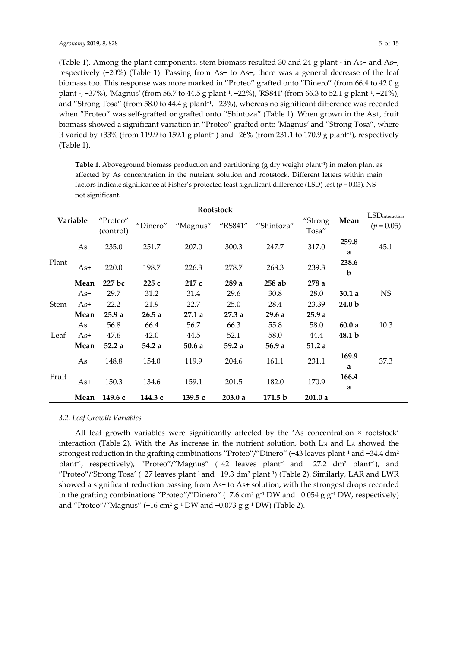(Table 1). Among the plant components, stem biomass resulted 30 and 24 g plant−1 in As− and As+, respectively (−20%) (Table 1). Passing from As− to As+, there was a general decrease of the leaf biomass too. This response was more marked in "Proteo" grafted onto "Dinero" (from 66.4 to 42.0 g plant−1, −37%), ′Magnus′ (from 56.7 to 44.5 g plant−1, −22%), ′RS841′ (from 66.3 to 52.1 g plant−1, −21%), and "Strong Tosa" (from 58.0 to 44.4 g plant<sup>-1</sup>, −23%), whereas no significant difference was recorded when "Proteo" was self-grafted or grafted onto "Shintoza" (Table 1). When grown in the As+, fruit biomass showed a significant variation in ′'Proteo′' grafted onto ′Magnus′ and ′'Strong Tosa′', where it varied by +33% (from 119.9 to 159.1 g plant<sup>-1</sup>) and  $-26%$  (from 231.1 to 170.9 g plant<sup>-1</sup>), respectively (Table 1).

| Variable    |       | "Proteo"<br>(control) | "Dinero" | "Magnus"<br>"RS841"<br>"Shintoza" |        | "Strong<br>Tosa"   | Mean   | $LSD$ interaction<br>$(p = 0.05)$ |           |
|-------------|-------|-----------------------|----------|-----------------------------------|--------|--------------------|--------|-----------------------------------|-----------|
|             | As-   | 235.0                 | 251.7    | 207.0                             | 300.3  | 247.7              | 317.0  | 259.8<br>a                        | 45.1      |
| Plant       | $As+$ | 220.0                 | 198.7    | 226.3                             | 278.7  | 268.3              | 239.3  | 238.6<br>b                        |           |
|             | Mean  | 227 bc                | 225c     | 217c                              | 289a   | $258$ ab           | 278a   |                                   |           |
|             | $As-$ | 29.7                  | 31.2     | 31.4                              | 29.6   | 30.8               | 28.0   | 30.1a                             | <b>NS</b> |
| <b>Stem</b> | $As+$ | 22.2                  | 21.9     | 22.7                              | 25.0   | 28.4               | 23.39  | 24.0 <sub>b</sub>                 |           |
|             | Mean  | 25.9a                 | 26.5a    | 27.1a                             | 27.3a  | 29.6a              | 25.9a  |                                   |           |
|             | $As-$ | 56.8                  | 66.4     | 56.7                              | 66.3   | 55.8               | 58.0   | 60.0a                             | 10.3      |
| Leaf        | $As+$ | 47.6                  | 42.0     | 44.5                              | 52.1   | 58.0               | 44.4   | 48.1 b                            |           |
|             | Mean  | 52.2a                 | 54.2 a   | 50.6a                             | 59.2a  | 56.9 a             | 51.2a  |                                   |           |
|             |       | 148.8                 |          |                                   | 204.6  |                    |        | 169.9                             |           |
|             | $As-$ |                       | 154.0    | 119.9                             |        | 161.1              | 231.1  | a                                 | 37.3      |
| Fruit       |       | 150.3                 | 134.6    |                                   | 201.5  | 182.0              |        | 166.4                             |           |
|             | As+   |                       |          | 159.1                             |        |                    | 170.9  | a                                 |           |
|             | Mean  | 149.6 с               | 144.3 с  | 139.5 с                           | 203.0a | 171.5 <sub>b</sub> | 201.0a |                                   |           |

**Table 1.** Aboveground biomass production and partitioning (g dry weight plant<sup>−</sup>1) in melon plant as affected by As concentration in the nutrient solution and rootstock. Different letters within main factors indicate significance at Fisher's protected least significant difference (LSD) test ( $p = 0.05$ ). NS not significant.

# *3.2. Leaf Growth Variables*

All leaf growth variables were significantly affected by the 'As concentration × rootstock' interaction (Table 2). With the As increase in the nutrient solution, both  $L_N$  and  $L_A$  showed the strongest reduction in the grafting combinations "Proteo"/"Dinero" (−43 leaves plant<sup>-1</sup> and −34.4 dm<sup>2</sup> plant<sup>-1</sup>, respectively), "Proteo"/"Magnus" (-42 leaves plant<sup>-1</sup> and -27.2 dm<sup>2</sup> plant<sup>-1</sup>), and ′'Proteo′'/*'*Strong Tosa' (−27 leaves plant−1 and −19.3 dm2 plant−1) (Table 2). Similarly, LAR and LWR showed a significant reduction passing from As− to As+ solution, with the strongest drops recorded in the grafting combinations ′'Proteo′'/′'Dinero′' (−7.6 cm2 g−1 DW and −0.054 g g−1 DW, respectively) and "Proteo"/"Magnus" (−16 cm<sup>2</sup> g<sup>-1</sup> DW and −0.073 g g<sup>-1</sup> DW) (Table 2).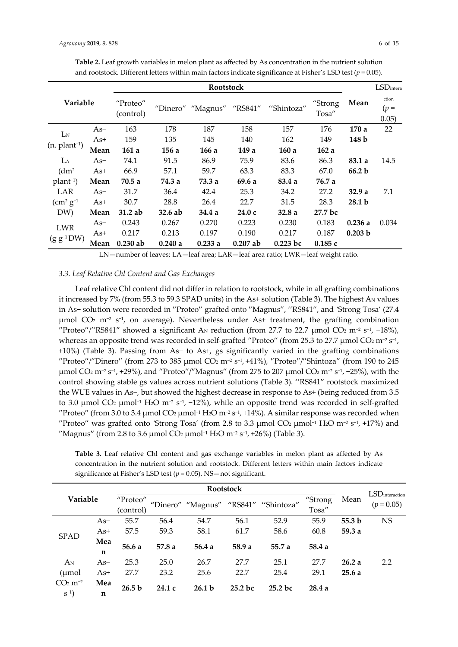|                      |       |                                                                     |        |                  | $\checkmark$ |                          |         |                   |                   |
|----------------------|-------|---------------------------------------------------------------------|--------|------------------|--------------|--------------------------|---------|-------------------|-------------------|
|                      |       |                                                                     |        | <b>Rootstock</b> |              |                          |         |                   | <b>LSD</b> intera |
| <b>Variable</b>      |       | "Proteo"<br>"Dinero" "Magnus"<br>"RS841"<br>"Shintoza"<br>(control) |        | "Strong<br>Tosa" | Mean         | ction<br>$(p =$<br>0.05) |         |                   |                   |
|                      | As-   | 163                                                                 | 178    | 187              | 158          | 157                      | 176     | 170a              | 22                |
| L <sub>N</sub>       | As+   | 159                                                                 | 135    | 145              | 140          | 162                      | 149     | 148 b             |                   |
| $(n. plant-1)$       | Mean  | 161 a                                                               | 156 a  | 166 a            | 149 a        | 160 a                    | 162a    |                   |                   |
| LA                   | $As-$ | 74.1                                                                | 91.5   | 86.9             | 75.9         | 83.6                     | 86.3    | 83.1 a            | 14.5              |
| (dm <sup>2</sup> )   | As+   | 66.9                                                                | 57.1   | 59.7             | 63.3         | 83.3                     | 67.0    | 66.2 b            |                   |
| $plan+1$             | Mean  | 70.5 a                                                              | 74.3 a | 73.3 a           | 69.6 a       | 83.4 a                   | 76.7 a  |                   |                   |
| LAR                  | $As-$ | 31.7                                                                | 36.4   | 42.4             | 25.3         | 34.2                     | 27.2    | 32.9 a            | 7.1               |
| $\rm (cm^2\,g^{-1})$ | As+   | 30.7                                                                | 28.8   | 26.4             | 22.7         | 31.5                     | 28.3    | 28.1 <sub>b</sub> |                   |
| DW)                  | Mean  | $31.2$ ab                                                           | 32.6ab | 34.4 a           | 24.0 c       | 32.8 a                   | 27.7 bc |                   |                   |
|                      | As-   | 0.243                                                               | 0.267  | 0.270            | 0.223        | 0.230                    | 0.183   | 0.236a            | 0.034             |
| <b>LWR</b>           | As+   | 0.217                                                               | 0.213  | 0.197            | 0.190        | 0.217                    | 0.187   | 0.203 b           |                   |
| $(g g^{-1} DW)$      | Mean  | $0.230$ ab                                                          | 0.240a | 0.233a           | $0.207$ ab   | $0.223$ bc               | 0.185c  |                   |                   |

**Table 2.** Leaf growth variables in melon plant as affected by As concentration in the nutrient solution and rootstock. Different letters within main factors indicate significance at Fisher's LSD test (*p* = 0.05).

LN—number of leaves; LA—leaf area; LAR—leaf area ratio; LWR—leaf weight ratio.

# *3.3. Leaf Relative Chl Content and Gas Exchanges*

Leaf relative Chl content did not differ in relation to rootstock, while in all grafting combinations it increased by 7% (from 55.3 to 59.3 SPAD units) in the As+ solution (Table 3). The highest AN values in As− solution were recorded in ′'Proteo′' grafted onto ′'Magnus′', ''RS841′', and *'*Strong Tosa' (27.4 μmol  $CO<sub>2</sub>$  m<sup>-2</sup> s<sup>-1</sup>, on average). Nevertheless under As+ treatment, the grafting combination ′'Proteo′'/''RS841′' showed a significant AN reduction (from 27.7 to 22.7 μmol CO2 m−2 s−1, −18%), whereas an opposite trend was recorded in self-grafted ′'Proteo′' (from 25.3 to 27.7 μmol CO2 m−2 s−1, +10%) (Table 3). Passing from As− to As+, gs significantly varied in the grafting combinations ′'Proteo′'/′'Dinero′' (from 273 to 385 μmol CO2 m−2 s−1, +41%), ′'Proteo′'/′'Shintoza′' (from 190 to 245 μmol CO2 m−2 s−1, +29%), and ′'Proteo′'/′'Magnus′' (from 275 to 207 μmol CO2 m−2 s−1, −25%), with the control showing stable gs values across nutrient solutions (Table 3). ''RS841′' rootstock maximized the WUE values in As−, but showed the highest decrease in response to As+ (being reduced from 3.5 to 3.0 μmol CO<sub>2</sub> μmol<sup>-1</sup> H<sub>2</sub>O m<sup>-2</sup> s<sup>-1</sup>, -12%), while an opposite trend was recorded in self-grafted  $'$ Proteo′' (from 3.0 to 3.4 μmol CO<sub>2</sub> μmol<sup>-1</sup> H<sub>2</sub>O m<sup>-2</sup> s<sup>-1</sup>, +14%). A similar response was recorded when ′'Proteo′' was grafted onto *'*Strong Tosa' (from 2.8 to 3.3 μmol CO2 μmol−1 H2O m−2 s−1, +17%) and ′'Magnus′' (from 2.8 to 3.6 μmol CO2 μmol−1 H2O m−2 s−1, +26%) (Table 3).

**Table 3.** Leaf relative Chl content and gas exchange variables in melon plant as affected by As concentration in the nutrient solution and rootstock. Different letters within main factors indicate significance at Fisher's LSD test (*p* = 0.05). NS—not significant.

|                       |              |                   |       |                                      | Rootstock |           |         |                   |                        |
|-----------------------|--------------|-------------------|-------|--------------------------------------|-----------|-----------|---------|-------------------|------------------------|
| Variable              |              | "Proteo"          |       |                                      |           |           | "Strong | Mean              | <b>LSD</b> interaction |
|                       |              | (control)         |       | "Dinero" "Magnus" "RS841" "Shintoza" |           |           | Tosa"   |                   | $(p = 0.05)$           |
|                       | $As-$        | 55.7              | 56.4  | 54.7                                 | 56.1      | 52.9      | 55.9    | 55.3 <sub>b</sub> | <b>NS</b>              |
|                       | $As+$        | 57.5              | 59.3  | 58.1                                 | 61.7      | 58.6      | 60.8    | 59.3 a            |                        |
| <b>SPAD</b>           | Mea<br>56.6a |                   | 57.8a | 56.4a                                | 58.9 a    | 55.7 a    | 58.4a   |                   |                        |
|                       | n            |                   |       |                                      |           |           |         |                   |                        |
| $A_N$                 | $As-$        | 25.3              | 25.0  | 26.7                                 | 27.7      | 25.1      | 27.7    | 26.2a             | 2.2                    |
| (µmol                 | $As+$        | 27.7              | 23.2  | 25.6                                 | 22.7      | 25.4      | 29.1    | 25.6a             |                        |
| $CO2$ m <sup>-2</sup> | Mea          | 26.5 <sub>b</sub> | 24.1c | 26.1 <sub>b</sub>                    | 25.2 bc   | $25.2$ bc |         |                   |                        |
| $S^{-1}$              | n            |                   |       |                                      |           |           | 28.4a   |                   |                        |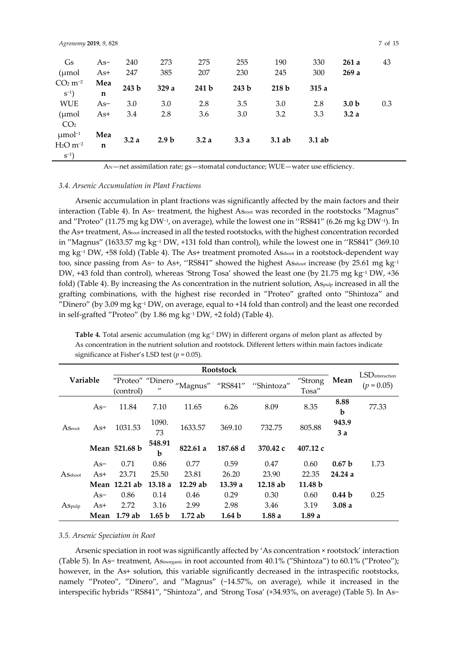| Agronomy 2019, 9, 828   |             |       |                  |       |       |                  |          |                  | 7 of 15 |
|-------------------------|-------------|-------|------------------|-------|-------|------------------|----------|------------------|---------|
| Gs                      | As-         | 240   | 273              | 275   | 255   | 190              | 330      | 261a             | 43      |
| $\mu$ mol               | As+         | 247   | 385              | 207   | 230   | 245              | 300      | 269a             |         |
| $CO2 m-2$               | Mea         | 243 b | 329 a            | 241 b | 243 b |                  |          |                  |         |
| $S^{-1}$ )              | n           |       |                  |       |       | 218 <sub>b</sub> | 315a     |                  |         |
| <b>WUE</b>              | $As-$       | 3.0   | 3.0              | 2.8   | 3.5   | 3.0              | 2.8      | 3.0 <sub>b</sub> | 0.3     |
| (µmol                   | As+         | 3.4   | 2.8              | 3.6   | 3.0   | 3.2              | 3.3      | 3.2a             |         |
| CO <sub>2</sub>         |             |       |                  |       |       |                  |          |                  |         |
| $\mu$ mol <sup>-1</sup> | Mea         |       |                  |       |       |                  |          |                  |         |
| $H2O$ m <sup>-2</sup>   | $\mathbf n$ | 3.2a  | 2.9 <sub>b</sub> | 3.2a  | 3.3a  | $3.1$ ab         | $3.1$ ab |                  |         |
| $S^{-1}$ )              |             |       |                  |       |       |                  |          |                  |         |

AN—net assimilation rate; gs—stomatal conductance; WUE—water use efficiency.

## *3.4. Arsenic Accumulation in Plant Fractions*

Arsenic accumulation in plant fractions was significantly affected by the main factors and their interaction (Table 4). In As− treatment, the highest Asroot was recorded in the rootstocks ′'Magnus′' and <sup>''</sup>Proteo'' (11.75 mg kg DW<sup>-1</sup>, on average), while the lowest one in ''RS841'' (6.26 mg kg DW<sup>-1</sup>). In the As+ treatment, Asroot increased in all the tested rootstocks, with the highest concentration recorded in ′'Magnus′' (1633.57 mg kg−1 DW, +131 fold than control), while the lowest one in ''RS841′' (369.10 mg kg<sup>-1</sup> DW, +58 fold) (Table 4). The As+ treatment promoted Asshoot in a rootstock-dependent way too, since passing from As− to As+, "RS841" showed the highest Asshoot increase (by 25.61 mg kg<sup>-1</sup> DW, +43 fold than control), whereas *'Strong Tosa'* showed the least one (by 21.75 mg kg<sup>-1</sup> DW, +36 fold) (Table 4). By increasing the As concentration in the nutrient solution,  $A_{S_{\text{Pub}}}$  increased in all the grafting combinations, with the highest rise recorded in "Proteo" grafted onto "Shintoza" and ′'Dinero′' (by 3.09 mg kg−1 DW, on average, equal to +14 fold than control) and the least one recorded in self-grafted ′'Proteo′' (by 1.86 mg kg−1 DW, +2 fold) (Table 4).

Table 4. Total arsenic accumulation (mg kg<sup>-1</sup> DW) in different organs of melon plant as affected by As concentration in the nutrient solution and rootstock. Different letters within main factors indicate significance at Fisher's LSD test (*p* = 0.05).

|                            |       |                               |                   |          |                   | $LSD$ interaction |                    |                   |              |
|----------------------------|-------|-------------------------------|-------------------|----------|-------------------|-------------------|--------------------|-------------------|--------------|
| Variable                   |       | "Proteo" "Dinero<br>(control) | $^{\prime\prime}$ | "Magnus" | "RS841"           | "Shintoza"        | "Strong<br>Tosa"   | Mean              | $(p = 0.05)$ |
|                            | $As-$ | 11.84                         | 7.10              | 11.65    | 6.26              | 8.09              | 8.35               | 8.88<br>b         | 77.33        |
| $\operatorname{As_{root}}$ | $As+$ | 1031.53                       | 1090.<br>73       | 1633.57  | 369.10            | 732.75            | 805.88             | 943.9<br>3a       |              |
|                            |       | Mean 521.68 b                 | 548.91<br>b       | 822.61 a | 187.68 d          | 370.42 c          | $407.12 \text{ c}$ |                   |              |
|                            | $As-$ | 0.71                          | 0.86              | 0.77     | 0.59              | 0.47              | 0.60               | 0.67 <sub>b</sub> | 1.73         |
| ASshoot                    | $As+$ | 23.71                         | 25.50             | 23.81    | 26.20             | 23.90             | 22.35              | 24.24a            |              |
|                            |       | Mean 12.21 ab                 | 13.18a            | 12.29 ab | 13.39a            | 12.18ab           | 11.48 b            |                   |              |
|                            | As-   | 0.86                          | 0.14              | 0.46     | 0.29              | 0.30              | 0.60               | 0.44 <sub>b</sub> | 0.25         |
| ASpulp                     | As+   | 2.72                          | 3.16              | 2.99     | 2.98              | 3.46              | 3.19               | 3.08a             |              |
|                            | Mean  | 1.79ab                        | 1.65 <sub>b</sub> | 1.72ab   | 1.64 <sub>b</sub> | 1.88a             | 1.89a              |                   |              |

## *3.5. Arsenic Speciation in Root*

Arsenic speciation in root was significantly affected by 'As concentration × rootstock' interaction (Table 5). In As− treatment, Asinorganic in root accounted from 40.1% (′'Shintoza′') to 60.1% (′'Proteo′'); however, in the As+ solution, this variable significantly decreased in the intraspecific rootstocks, namely "Proteo", "Dinero", and "Magnus" (−14.57%, on average), while it increased in the interspecific hybrids ''RS841′', ′'Shintoza′', and *'*Strong Tosa' (+34.93%, on average) (Table 5). In As−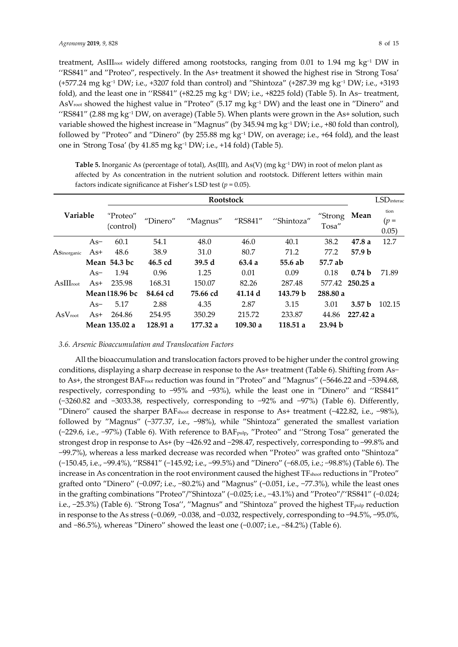treatment, AsIIIroot widely differed among rootstocks, ranging from 0.01 to 1.94 mg kg−1 DW in ''RS841′' and ′'Proteo′', respectively. In the As+ treatment it showed the highest rise in *'*Strong Tosa' (+577.24 mg kg−1 DW; i.e., +3207 fold than control) and ′'Shintoza′' (+287.39 mg kg−1 DW; i.e., +3193 fold), and the least one in ''RS841′' (+82.25 mg kg−1 DW; i.e., +8225 fold) (Table 5). In As− treatment, AsVroot showed the highest value in ′'Proteo′' (5.17 mg kg−1 DW) and the least one in ′'Dinero′' and ''RS841′' (2.88 mg kg−1 DW, on average) (Table 5). When plants were grown in the As+ solution, such variable showed the highest increase in ′'Magnus′' (by 345.94 mg kg−1 DW; i.e., +80 fold than control), followed by ′'Proteo′' and ′'Dinero′' (by 255.88 mg kg−1 DW, on average; i.e., +64 fold), and the least one in *'*Strong Tosa' (by 41.85 mg kg−1 DW; i.e., +14 fold) (Table 5).

|                     |       |                       |          | <b>Rootstock</b> |          |            |                    |                   | $LSD$ interac           |
|---------------------|-------|-----------------------|----------|------------------|----------|------------|--------------------|-------------------|-------------------------|
| <b>Variable</b>     |       | "Proteo"<br>(control) | "Dinero" | "Magnus"         | "RS841"  | "Shintoza" | "Strong<br>Tosa"   | Mean              | tion<br>$(p =$<br>0.05) |
|                     | $As-$ | 60.1                  | 54.1     | 48.0             | 46.0     | 40.1       | 38.2               | 47.8a             | 12.7                    |
| ASinorganic         | $As+$ | 48.6                  | 38.9     | 31.0             | 80.7     | 71.2       | 77.2               | 57.9 <sub>b</sub> |                         |
|                     |       | Mean 54.3 bc          | 46.5 cd  | 39.5d            | 63.4a    | 55.6 ab    | 57.7 ab            |                   |                         |
|                     | $As-$ | 1.94                  | 0.96     | 1.25             | 0.01     | 0.09       | 0.18               | 0.74 <sub>b</sub> | 71.89                   |
| $AsIII_{root}$      | $As+$ | 235.98                | 168.31   | 150.07           | 82.26    | 287.48     | 577.42             | 250.25a           |                         |
|                     |       | Mean 118.96 bc        | 84.64 cd | 75.66 cd         | 41.14d   | 143.79 b   | 288.80 a           |                   |                         |
|                     | $As-$ | 5.17                  | 2.88     | 4.35             | 2.87     | 3.15       | 3.01               | 3.57 <sub>b</sub> | 102.15                  |
| $AsV_{\text{root}}$ | $As+$ | 264.86                | 254.95   | 350.29           | 215.72   | 233.87     | 44.86              | 227.42 a          |                         |
|                     |       | Mean 135.02 a         | 128.91 a | 177.32 a         | 109.30 a | 118.51a    | 23.94 <sub>b</sub> |                   |                         |

**Table 5.** Inorganic As (percentage of total), As(III), and As(V) (mg kg<sup>−</sup>1 DW) in root of melon plant as affected by As concentration in the nutrient solution and rootstock. Different letters within main factors indicate significance at Fisher's LSD test (*p* = 0.05).

## *3.6. Arsenic Bioaccumulation and Translocation Factors*

All the bioaccumulation and translocation factors proved to be higher under the control growing conditions, displaying a sharp decrease in response to the As+ treatment (Table 6). Shifting from As− to As+, the strongest BAFroot reduction was found in ′'Proteo′' and ′'Magnus′' (−5646.22 and −5394.68, respectively, corresponding to −95% and −93%), while the least one in ′'Dinero′' and ''RS841′' (−3260.82 and −3033.38, respectively, corresponding to −92% and −97%) (Table 6). Differently, ′'Dinero′' caused the sharper BAFshoot decrease in response to As+ treatment (−422.82, i.e., −98%), followed by ′'Magnus′' (−377.37, i.e., −98%), while ′'Shintoza′' generated the smallest variation (−229.6, i.e., −97%) (Table 6). With reference to BAFpulp, ′'Proteo′' and ''Strong Tosa'' generated the strongest drop in response to As+ (by −426.92 and −298.47, respectively, corresponding to −99.8% and −99.7%), whereas a less marked decrease was recorded when ′'Proteo′' was grafted onto ′'Shintoza′' (−150.45, i.e., −99.4%), ''RS841′' (−145.92; i.e., −99.5%) and ′'Dinero′' (−68.05, i.e.; −98.8%) (Table 6). The increase in As concentration in the root environment caused the highest TFshoot reductions in ′'Proteo′' grafted onto ′'Dinero′' (−0.097; i.e., −80.2%) and ′'Magnus′' (−0.051, i.e., −77.3%), while the least ones in the grafting combinations ′'Proteo′'/′'Shintoza′' (−0.025; i.e., −43.1%) and ′'Proteo′'/''RS841′' (−0.024; i.e., −25.3%) (Table 6). *''*Strong Tosa'', ′'Magnus′' and ′'Shintoza′' proved the highest TFpulp reduction in response to the As stress (−0.069, −0.038, and −0.032, respectively, corresponding to −94.5%, −95.0%, and −86.5%), whereas ′'Dinero′' showed the least one (−0.007; i.e., −84.2%) (Table 6).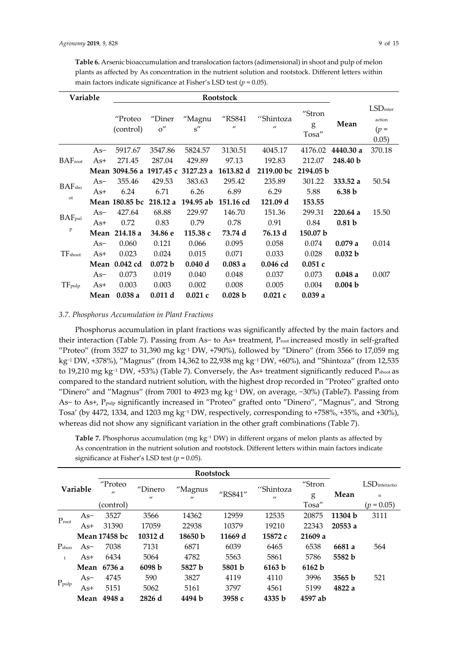**Table 6.** Arsenic bioaccumulation and translocation factors (adimensional) in shoot and pulp of melon plants as affected by As concentration in the nutrient solution and rootstock. Different letters within main factors indicate significance at Fisher's LSD test (*p* = 0.05).

| Variable            |       |                       |               |                                    |                             |                                |                      |                   |                                          |
|---------------------|-------|-----------------------|---------------|------------------------------------|-----------------------------|--------------------------------|----------------------|-------------------|------------------------------------------|
|                     |       | "Proteo<br>(control)  | "Diner<br>O'' | "Magnu<br>s''                      | "RS841<br>$^{\prime\prime}$ | "Shintoza<br>$^{\prime\prime}$ | "Stron<br>g<br>Tosa" | Mean              | $LSD$ inter<br>action<br>$(p =$<br>0.05) |
|                     | $As-$ | 5917.67               | 3547.86       | 5824.57                            | 3130.51                     | 4045.17                        | 4176.02              | 4440.30 a         | 370.18                                   |
| BAF <sub>root</sub> | $As+$ | 271.45                | 287.04        | 429.89                             | 97.13                       | 192.83                         | 212.07               | 248.40 b          |                                          |
|                     |       |                       |               | Mean 3094.56 a 1917.45 c 3127.23 a | 1613.82 d                   | 2119.00 bc                     | 2194.05 b            |                   |                                          |
| <b>BAF</b> sho      | $As-$ | 355.46                | 429.53        | 383.63                             | 295.42                      | 235.89                         | 301.22               | 333.52a           | 50.54                                    |
|                     | As+   | 6.24                  | 6.71          | 6.26                               | 6.89                        | 6.29                           | 5.88                 | 6.38 <sub>b</sub> |                                          |
| 0t                  |       | <b>Mean 180.85 bc</b> | 218.12a       | 194.95 ab                          | 151.16 cd                   | 121.09 d                       | 153.55               |                   |                                          |
|                     | $As-$ | 427.64                | 68.88         | 229.97                             | 146.70                      | 151.36                         | 299.31               | 220.64a           | 15.50                                    |
| BAF <sub>pul</sub>  | As+   | 0.72                  | 0.83          | 0.79                               | 0.78                        | 0.91                           | 0.84                 | 0.81 <sub>b</sub> |                                          |
| P                   |       | Mean 214.18 a         | 34.86 e       | 115.38 с                           | 73.74 d                     | 76.13 d                        | 150.07 b             |                   |                                          |
|                     | $As-$ | 0.060                 | 0.121         | 0.066                              | 0.095                       | 0.058                          | 0.074                | 0.079a            | 0.014                                    |
| TFshoot             | $As+$ | 0.023                 | 0.024         | 0.015                              | 0.071                       | 0.033                          | 0.028                | 0.032 b           |                                          |
|                     |       | Mean 0.042 cd         | 0.072 b       | 0.040 d                            | 0.083a                      | $0.046$ cd                     | 0.051c               |                   |                                          |
|                     | $As-$ | 0.073                 | 0.019         | 0.040                              | 0.048                       | 0.037                          | 0.073                | 0.048a            | 0.007                                    |
| $TF_{\text{pulp}}$  | As+   | 0.003                 | 0.003         | 0.002                              | 0.008                       | 0.005                          | 0.004                | 0.004 b           |                                          |
|                     | Mean  | 0.038a                | 0.011 d       | 0.021c                             | 0.028 b                     | 0.021c                         | 0.039a               |                   |                                          |

# *3.7. Phosphorus Accumulation in Plant Fractions*

Phosphorus accumulation in plant fractions was significantly affected by the main factors and their interaction (Table 7). Passing from As− to As+ treatment, Proot increased mostly in self-grafted ′'Proteo′' (from 3527 to 31,390 mg kg−1 DW, +790%), followed by ′'Dinero′' (from 3566 to 17,059 mg kg−1 DW, +378%), ′'Magnus′' (from 14,362 to 22,938 mg kg−1 DW, +60%), and ′'Shintoza′' (from 12,535 to 19,210 mg kg−1 DW, +53%) (Table 7). Conversely, the As+ treatment significantly reduced Pshoot as compared to the standard nutrient solution, with the highest drop recorded in "Proteo" grafted onto ′'Dinero′' and ′'Magnus′' (from 7001 to 4923 mg kg−1 DW, on average, −30%) (Table7). Passing from As− to As+, Ppulp significantly increased in ′'Proteo′' grafted onto ′'Dinero′', ′'Magnus′', and *'*Strong Tosa' (by 4472, 1334, and 1203 mg kg<sup>-1</sup> DW, respectively, corresponding to +758%, +35%, and +30%), whereas did not show any significant variation in the other graft combinations (Table 7).

Table 7. Phosphorus accumulation (mg kg<sup>-1</sup> DW) in different organs of melon plants as affected by As concentration in the nutrient solution and rootstock. Different letters within main factors indicate significance at Fisher's LSD test (*p* = 0.05).

|                   | Variable | "Proteo           | "Dinero           | "Magnus           |         | "Shintoza         | "Stron  |         | $LSD$ interactio |
|-------------------|----------|-------------------|-------------------|-------------------|---------|-------------------|---------|---------|------------------|
|                   |          | $^{\prime\prime}$ | $^{\prime\prime}$ | $^{\prime\prime}$ | "RS841" | $^{\prime\prime}$ | g       | Mean    | $\mathbf n$      |
|                   |          | (control)         |                   |                   |         |                   | Tosa"   |         | $(p = 0.05)$     |
| $P_{root}$        | $As-$    | 3527              | 3566              | 14362             | 12959   | 12535             | 20875   | 11304 b | 3111             |
|                   | As+      | 31390             | 17059             | 22938             | 10379   | 19210             | 22343   | 20553a  |                  |
|                   |          | Mean 17458 bc     | 10312 d           | 18650 b           | 11669 d | 15872 с           | 21609 a |         |                  |
| P <sub>shoo</sub> | $As-$    | 7038              | 7131              | 6871              | 6039    | 6465              | 6538    | 6681 a  | 564              |
| $\ddagger$        | As+      | 6434              | 5064              | 4782              | 5563    | 5861              | 5786    | 5582 b  |                  |
|                   | Mean     | 6736 a            | 6098 b            | 5827 b            | 5801 b  | 6163 b            | 6162 b  |         |                  |
|                   | $As-$    | 4745              | 590               | 3827              | 4119    | 4110              | 3996    | 3565 b  | 521              |
| $P_{\text{pulp}}$ | As+      | 5151              | 5062              | 5161              | 3797    | 4561              | 5199    | 4822 a  |                  |
|                   | Mean     | 4948 a            | 2826 d            | 4494 b            | 3958 с  | 4335 b            | 4597 ab |         |                  |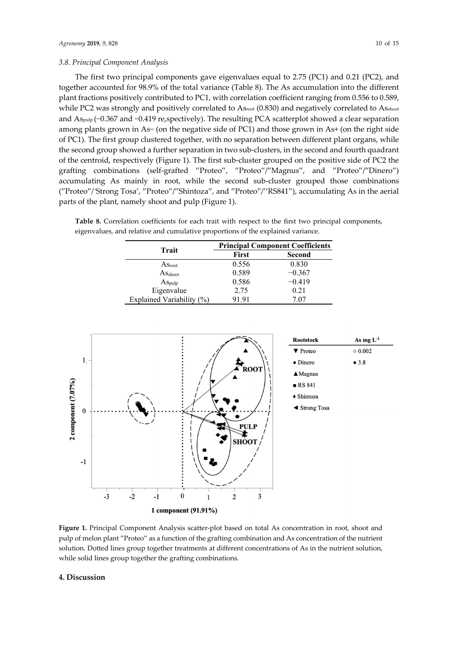# *3.8. Principal Component Analysis*

The first two principal components gave eigenvalues equal to 2.75 (PC1) and 0.21 (PC2), and together accounted for 98.9% of the total variance (Table 8). The As accumulation into the different plant fractions positively contributed to PC1, with correlation coefficient ranging from 0.556 to 0.589, while PC2 was strongly and positively correlated to Asroot (0.830) and negatively correlated to Asshoot and As<sub>pulp</sub> (−0.367 and −0.419 re,spectively). The resulting PCA scatterplot showed a clear separation among plants grown in As− (on the negative side of PC1) and those grown in As+ (on the right side of PC1). The first group clustered together, with no separation between different plant organs, while the second group showed a further separation in two sub-clusters, in the second and fourth quadrant of the centroid, respectively (Figure 1). The first sub-cluster grouped on the positive side of PC2 the grafting combinations (self-grafted ′'Proteo′', ′'Proteo′'/′'Magnus′', and ′'Proteo′'/′'Dinero′') accumulating As mainly in root, while the second sub-cluster grouped those combinations (′'Proteo′'/*'*Strong Tosa', ′'Proteo′'/′'Shintoza′', and ′'Proteo′'/''RS841′'), accumulating As in the aerial parts of the plant, namely shoot and pulp (Figure 1).

**Table 8.** Correlation coefficients for each trait with respect to the first two principal components, eigenvalues, and relative and cumulative proportions of the explained variance.

|                                | <b>Principal Component Coefficients</b> |          |  |  |  |
|--------------------------------|-----------------------------------------|----------|--|--|--|
| Trait                          | First                                   | Second   |  |  |  |
| $As_{\text{root}}$             | 0.556                                   | 0.830    |  |  |  |
| $\mathrm{As}_{\mathrm{shoot}}$ | 0.589                                   | $-0.367$ |  |  |  |
| $As_{\text{pulp}}$             | 0.586                                   | $-0.419$ |  |  |  |
| Eigenvalue                     | 2.75                                    | 0.21     |  |  |  |
| Explained Variability (%)      | 91.91                                   | 7.07     |  |  |  |



**Figure 1.** Principal Component Analysis scatter-plot based on total As concentration in root, shoot and pulp of melon plant ′'Proteo′' as a function of the grafting combination and As concentration of the nutrient solution. Dotted lines group together treatments at different concentrations of As in the nutrient solution, while solid lines group together the grafting combinations.

# **4. Discussion**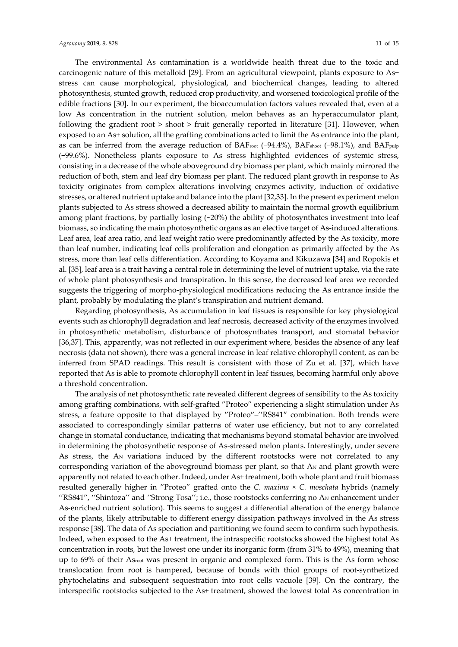The environmental As contamination is a worldwide health threat due to the toxic and carcinogenic nature of this metalloid [29]. From an agricultural viewpoint, plants exposure to As− stress can cause morphological, physiological, and biochemical changes, leading to altered photosynthesis, stunted growth, reduced crop productivity, and worsened toxicological profile of the edible fractions [30]. In our experiment, the bioaccumulation factors values revealed that, even at a low As concentration in the nutrient solution, melon behaves as an hyperaccumulator plant, following the gradient root > shoot > fruit generally reported in literature [31]. However, when exposed to an As+ solution, all the grafting combinations acted to limit the As entrance into the plant, as can be inferred from the average reduction of BAFroot (−94.4%), BAFshoot (−98.1%), and BAF<sub>pulp</sub> (−99.6%). Nonetheless plants exposure to As stress highlighted evidences of systemic stress, consisting in a decrease of the whole aboveground dry biomass per plant, which mainly mirrored the reduction of both, stem and leaf dry biomass per plant. The reduced plant growth in response to As toxicity originates from complex alterations involving enzymes activity, induction of oxidative stresses, or altered nutrient uptake and balance into the plant [32,33]. In the present experiment melon plants subjected to As stress showed a decreased ability to maintain the normal growth equilibrium among plant fractions, by partially losing  $(\sim 20\%)$  the ability of photosynthates investment into leaf biomass, so indicating the main photosynthetic organs as an elective target of As-induced alterations. Leaf area, leaf area ratio, and leaf weight ratio were predominantly affected by the As toxicity, more than leaf number, indicating leaf cells proliferation and elongation as primarily affected by the As stress, more than leaf cells differentiation. According to Koyama and Kikuzawa [34] and Ropokis et al. [35], leaf area is a trait having a central role in determining the level of nutrient uptake, via the rate of whole plant photosynthesis and transpiration. In this sense, the decreased leaf area we recorded suggests the triggering of morpho-physiological modifications reducing the As entrance inside the plant, probably by modulating the plant's transpiration and nutrient demand.

Regarding photosynthesis, As accumulation in leaf tissues is responsible for key physiological events such as chlorophyll degradation and leaf necrosis, decreased activity of the enzymes involved in photosynthetic metabolism, disturbance of photosynthates transport, and stomatal behavior [36,37]. This, apparently, was not reflected in our experiment where, besides the absence of any leaf necrosis (data not shown), there was a general increase in leaf relative chlorophyll content, as can be inferred from SPAD readings. This result is consistent with those of Zu et al. [37], which have reported that As is able to promote chlorophyll content in leaf tissues, becoming harmful only above a threshold concentration.

The analysis of net photosynthetic rate revealed different degrees of sensibility to the As toxicity among grafting combinations, with self-grafted ′'Proteo′' experiencing a slight stimulation under As stress, a feature opposite to that displayed by ′'Proteo′'–''RS841′' combination. Both trends were associated to correspondingly similar patterns of water use efficiency, but not to any correlated change in stomatal conductance, indicating that mechanisms beyond stomatal behavior are involved in determining the photosynthetic response of As-stressed melon plants. Interestingly, under severe As stress, the  $A_N$  variations induced by the different rootstocks were not correlated to any corresponding variation of the aboveground biomass per plant, so that  $A_N$  and plant growth were apparently not related to each other. Indeed, under As+ treatment, both whole plant and fruit biomass resulted generally higher in ′'Proteo′' grafted onto the *C. maxima* × *C. moschata* hybrids (namely ''RS841′', ''Shintoza'' and *''*Strong Tosa''; i.e., those rootstocks conferring no AN enhancement under As-enriched nutrient solution). This seems to suggest a differential alteration of the energy balance of the plants, likely attributable to different energy dissipation pathways involved in the As stress response [38]. The data of As speciation and partitioning we found seem to confirm such hypothesis. Indeed, when exposed to the As+ treatment, the intraspecific rootstocks showed the highest total As concentration in roots, but the lowest one under its inorganic form (from 31% to 49%), meaning that up to 69% of their Asroot was present in organic and complexed form. This is the As form whose translocation from root is hampered, because of bonds with thiol groups of root-synthetized phytochelatins and subsequent sequestration into root cells vacuole [39]. On the contrary, the interspecific rootstocks subjected to the As+ treatment, showed the lowest total As concentration in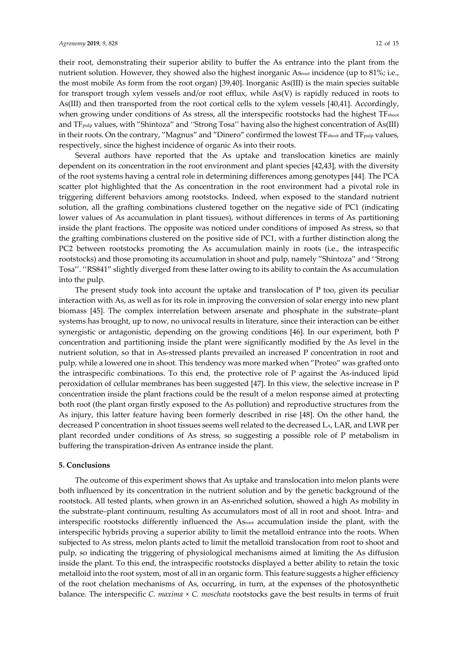their root, demonstrating their superior ability to buffer the As entrance into the plant from the nutrient solution. However, they showed also the highest inorganic Asroot incidence (up to 81%; i.e., the most mobile As form from the root organ) [39,40]. Inorganic As(III) is the main species suitable for transport trough xylem vessels and/or root efflux, while As(V) is rapidly reduced in roots to As(III) and then transported from the root cortical cells to the xylem vessels [40,41]. Accordingly, when growing under conditions of As stress, all the interspecific rootstocks had the highest TF<sub>shoot</sub> and TFpulp values, with ′'Shintoza′' and *''*Strong Tosa'' having also the highest concentration of As(III) in their roots. On the contrary, "Magnus" and "Dinero" confirmed the lowest TF<sub>shoot</sub> and TF<sub>pulp</sub> values, respectively, since the highest incidence of organic As into their roots.

Several authors have reported that the As uptake and translocation kinetics are mainly dependent on its concentration in the root environment and plant species [42,43], with the diversity of the root systems having a central role in determining differences among genotypes [44]. The PCA scatter plot highlighted that the As concentration in the root environment had a pivotal role in triggering different behaviors among rootstocks. Indeed, when exposed to the standard nutrient solution, all the grafting combinations clustered together on the negative side of PC1 (indicating lower values of As accumulation in plant tissues), without differences in terms of As partitioning inside the plant fractions. The opposite was noticed under conditions of imposed As stress, so that the grafting combinations clustered on the positive side of PC1, with a further distinction along the PC2 between rootstocks promoting the As accumulation mainly in roots (i.e., the intraspecific rootstocks) and those promoting its accumulation in shoot and pulp, namely ′'Shintoza′' and '*'*Strong Tosa''. ''RS841′' slightly diverged from these latter owing to its ability to contain the As accumulation into the pulp.

The present study took into account the uptake and translocation of P too, given its peculiar interaction with As, as well as for its role in improving the conversion of solar energy into new plant biomass [45]. The complex interrelation between arsenate and phosphate in the substrate–plant systems has brought, up to now, no univocal results in literature, since their interaction can be either synergistic or antagonistic, depending on the growing conditions [46]. In our experiment, both P concentration and partitioning inside the plant were significantly modified by the As level in the nutrient solution, so that in As-stressed plants prevailed an increased P concentration in root and pulp, while a lowered one in shoot. This tendency was more marked when ′'Proteo′' was grafted onto the intraspecific combinations. To this end, the protective role of P against the As-induced lipid peroxidation of cellular membranes has been suggested [47]. In this view, the selective increase in P concentration inside the plant fractions could be the result of a melon response aimed at protecting both root (the plant organ firstly exposed to the As pollution) and reproductive structures from the As injury, this latter feature having been formerly described in rise [48]. On the other hand, the decreased P concentration in shoot tissues seems well related to the decreased LA, LAR, and LWR per plant recorded under conditions of As stress, so suggesting a possible role of P metabolism in buffering the transpiration-driven As entrance inside the plant.

# **5. Conclusions**

The outcome of this experiment shows that As uptake and translocation into melon plants were both influenced by its concentration in the nutrient solution and by the genetic background of the rootstock. All tested plants, when grown in an As-enriched solution, showed a high As mobility in the substrate–plant continuum, resulting As accumulators most of all in root and shoot. Intra- and interspecific rootstocks differently influenced the Asroot accumulation inside the plant, with the interspecific hybrids proving a superior ability to limit the metalloid entrance into the roots. When subjected to As stress, melon plants acted to limit the metalloid translocation from root to shoot and pulp, so indicating the triggering of physiological mechanisms aimed at limiting the As diffusion inside the plant. To this end, the intraspecific rootstocks displayed a better ability to retain the toxic metalloid into the root system, most of all in an organic form. This feature suggests a higher efficiency of the root chelation mechanisms of As, occurring, in turn, at the expenses of the photosynthetic balance. The interspecific *C. maxima × C. moschata* rootstocks gave the best results in terms of fruit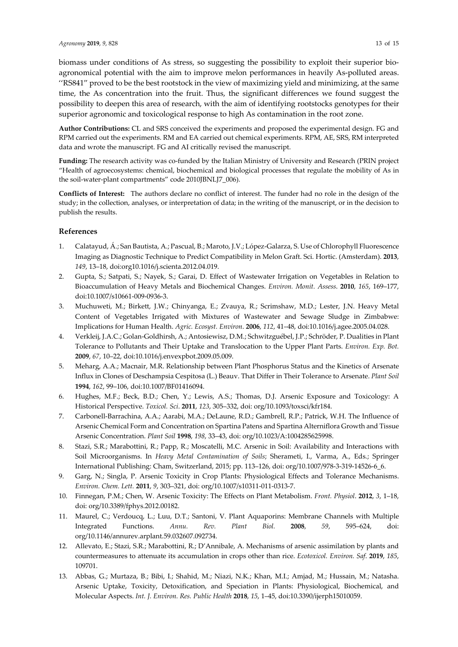biomass under conditions of As stress, so suggesting the possibility to exploit their superior bioagronomical potential with the aim to improve melon performances in heavily As-polluted areas. ''RS841′' proved to be the best rootstock in the view of maximizing yield and minimizing, at the same time, the As concentration into the fruit. Thus, the significant differences we found suggest the possibility to deepen this area of research, with the aim of identifying rootstocks genotypes for their superior agronomic and toxicological response to high As contamination in the root zone.

**Author Contributions:** CL and SRS conceived the experiments and proposed the experimental design. FG and RPM carried out the experiments. RM and EA carried out chemical experiments. RPM, AE, SRS, RM interpreted data and wrote the manuscript. FG and AI critically revised the manuscript.

**Funding:** The research activity was co-funded by the Italian Ministry of University and Research (PRIN project "Health of agroecosystems: chemical, biochemical and biological processes that regulate the mobility of As in the soil-water-plant compartments" code 2010JBNLJ7\_006).

**Conflicts of Interest:** The authors declare no conflict of interest. The funder had no role in the design of the study; in the collection, analyses, or interpretation of data; in the writing of the manuscript, or in the decision to publish the results.

# **References**

- 1. Calatayud, Á.; San Bautista, A.; Pascual, B.; Maroto, J.V.; López-Galarza, S. Use of Chlorophyll Fluorescence Imaging as Diagnostic Technique to Predict Compatibility in Melon Graft. Sci. Hortic. (Amsterdam). **2013**, *149*, 13–18, doi:org10.1016/j.scienta.2012.04.019.
- 2. Gupta, S.; Satpati, S.; Nayek, S.; Garai, D. Effect of Wastewater Irrigation on Vegetables in Relation to Bioaccumulation of Heavy Metals and Biochemical Changes. *Environ. Monit. Assess*. **2010**, *165*, 169–177, doi:10.1007/s10661-009-0936-3.
- 3. Muchuweti, M.; Birkett, J.W.; Chinyanga, E.; Zvauya, R.; Scrimshaw, M.D.; Lester, J.N. Heavy Metal Content of Vegetables Irrigated with Mixtures of Wastewater and Sewage Sludge in Zimbabwe: Implications for Human Health. *Agric. Ecosyst. Environ*. **2006**, *112*, 41–48, doi:10.1016/j.agee.2005.04.028.
- 4. Verkleij, J.A.C.; Golan-Goldhirsh, A.; Antosiewisz, D.M.; Schwitzguébel, J.P.; Schröder, P. Dualities in Plant Tolerance to Pollutants and Their Uptake and Translocation to the Upper Plant Parts. *Environ. Exp. Bot.*  **2009**, *67*, 10–22, doi:10.1016/j.envexpbot.2009.05.009.
- 5. Meharg, A.A.; Macnair, M.R. Relationship between Plant Phosphorus Status and the Kinetics of Arsenate Influx in Clones of Deschampsia Cespitosa (L.) Beauv. That Differ in Their Tolerance to Arsenate. *Plant Soil* **1994**, *162*, 99–106, doi:10.1007/BF01416094.
- 6. Hughes, M.F.; Beck, B.D.; Chen, Y.; Lewis, A.S.; Thomas, D.J. Arsenic Exposure and Toxicology: A Historical Perspective. *Toxicol. Sci*. **2011**, *123*, 305–332, doi: org/10.1093/toxsci/kfr184.
- 7. Carbonell-Barrachina, A.A.; Aarabi, M.A.; DeLaune, R.D.; Gambrell, R.P.; Patrick, W.H. The Influence of Arsenic Chemical Form and Concentration on Spartina Patens and Spartina Alterniflora Growth and Tissue Arsenic Concentration. *Plant Soil* **1998**, *198*, 33–43, doi: org/10.1023/A:1004285625998.
- 8. Stazi, S.R.; Marabottini, R.; Papp, R.; Moscatelli, M.C. Arsenic in Soil: Availability and Interactions with Soil Microorganisms. In *Heavy Metal Contamination of Soils*; Sherameti, I., Varma, A., Eds.; Springer International Publishing: Cham, Switzerland, 2015; pp. 113–126, doi: org/10.1007/978-3-319-14526-6\_6.
- 9. Garg, N.; Singla, P. Arsenic Toxicity in Crop Plants: Physiological Effects and Tolerance Mechanisms. *Environ. Chem. Lett.* **2011**, *9*, 303–321, doi: org/10.1007/s10311-011-0313-7.
- 10. Finnegan, P.M.; Chen, W. Arsenic Toxicity: The Effects on Plant Metabolism. *Front. Physiol*. **2012**, *3*, 1–18, doi: org/10.3389/fphys.2012.00182.
- 11. Maurel, C.; Verdoucq, L.; Luu, D.T.; Santoni, V. Plant Aquaporins: Membrane Channels with Multiple Integrated Functions. *Annu. Rev. Plant Biol.* **2008**, *59*, 595–624, doi: org/10.1146/annurev.arplant.59.032607.092734.
- 12. Allevato, E.; Stazi, S.R.; Marabottini, R.; D'Annibale, A. Mechanisms of arsenic assimilation by plants and countermeasures to attenuate its accumulation in crops other than rice. *Ecotoxicol. Environ. Saf*. **2019**, *185*, 109701.
- 13. Abbas, G.; Murtaza, B.; Bibi, I.; Shahid, M.; Niazi, N.K.; Khan, M.I.; Amjad, M.; Hussain, M.; Natasha. Arsenic Uptake, Toxicity, Detoxification, and Speciation in Plants: Physiological, Biochemical, and Molecular Aspects. *Int. J. Environ. Res. Public Health* **2018**, *15*, 1–45, doi:10.3390/ijerph15010059.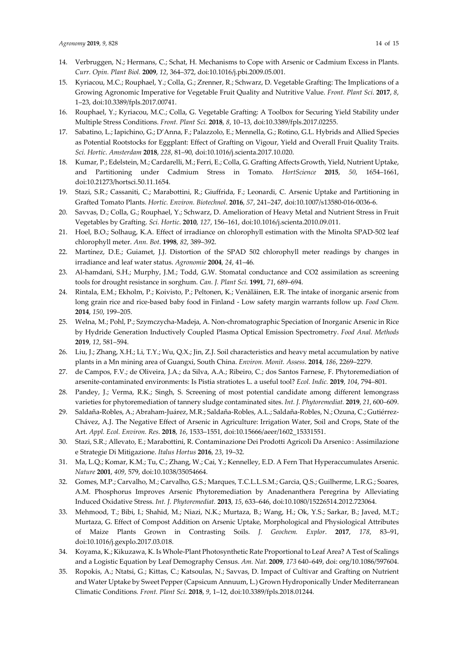- 14. Verbruggen, N.; Hermans, C.; Schat, H. Mechanisms to Cope with Arsenic or Cadmium Excess in Plants. *Curr. Opin. Plant Biol.* **2009**, *12*, 364–372, doi:10.1016/j.pbi.2009.05.001.
- 15. Kyriacou, M.C.; Rouphael, Y.; Colla, G.; Zrenner, R.; Schwarz, D. Vegetable Grafting: The Implications of a Growing Agronomic Imperative for Vegetable Fruit Quality and Nutritive Value. *Front. Plant Sci*. **2017**, *8*, 1–23, doi:10.3389/fpls.2017.00741.
- 16. Rouphael, Y.; Kyriacou, M.C.; Colla, G. Vegetable Grafting: A Toolbox for Securing Yield Stability under Multiple Stress Conditions. *Front. Plant Sci.* **2018**, *8*, 10–13, doi:10.3389/fpls.2017.02255.
- 17. Sabatino, L.; Iapichino, G.; D'Anna, F.; Palazzolo, E.; Mennella, G.; Rotino, G.L. Hybrids and Allied Species as Potential Rootstocks for Eggplant: Effect of Grafting on Vigour, Yield and Overall Fruit Quality Traits. *Sci. Hortic*. *Amsterdam* **2018**, *228*, 81–90, doi:10.1016/j.scienta.2017.10.020.
- 18. Kumar, P.; Edelstein, M.; Cardarelli, M.; Ferri, E.; Colla, G. Grafting Affects Growth, Yield, Nutrient Uptake, and Partitioning under Cadmium Stress in Tomato. *HortScience* **2015**, *50*, 1654–1661, doi:10.21273/hortsci.50.11.1654.
- 19. Stazi, S.R.; Cassaniti, C.; Marabottini, R.; Giuffrida, F.; Leonardi, C. Arsenic Uptake and Partitioning in Grafted Tomato Plants. *Hortic. Environ. Biotechnol*. **2016**, *57*, 241–247, doi:10.1007/s13580-016-0036-6.
- 20. Savvas, D.; Colla, G.; Rouphael, Y.; Schwarz, D. Amelioration of Heavy Metal and Nutrient Stress in Fruit Vegetables by Grafting. *Sci. Hortic*. **2010**, *127*, 156–161, doi:10.1016/j.scienta.2010.09.011.
- 21. Hoel, B.O.; Solhaug, K.A. Effect of irradiance on chlorophyll estimation with the Minolta SPAD-502 leaf chlorophyll meter. *Ann. Bot*. **1998**, *82*, 389–392.
- 22. Martínez, D.E.; Guiamet, J.J. Distortion of the SPAD 502 chlorophyll meter readings by changes in irradiance and leaf water status. *Agronomie* **2004**, *24*, 41–46.
- 23. Al-hamdani, S.H.; Murphy, J.M.; Todd, G.W. Stomatal conductance and CO2 assimilation as screening tools for drought resistance in sorghum. *Can. J. Plant Sci*. **1991**, *71*, 689–694.
- 24. Rintala, E.M.; Ekholm, P.; Koivisto, P.; Peltonen, K.; Venäläinen, E.R. The intake of inorganic arsenic from long grain rice and rice-based baby food in Finland - Low safety margin warrants follow up*. Food Chem.* **2014**, *150*, 199–205.
- 25. Welna, M.; Pohl, P.; Szymczycha-Madeja, A. Non-chromatographic Speciation of Inorganic Arsenic in Rice by Hydride Generation Inductively Coupled Plasma Optical Emission Spectrometry. *Food Anal. Methods* **2019**, *12*, 581–594.
- 26. Liu, J.; Zhang, X.H.; Li, T.Y.; Wu, Q.X.; Jin, Z.J. Soil characteristics and heavy metal accumulation by native plants in a Mn mining area of Guangxi, South China. *Environ. Monit. Assess*. **2014**, *186*, 2269–2279.
- 27. de Campos, F.V.; de Oliveira, J.A.; da Silva, A.A.; Ribeiro, C.; dos Santos Farnese, F. Phytoremediation of arsenite-contaminated environments: Is Pistia stratiotes L. a useful tool? *Ecol. Indic.* **2019**, *104*, 794–801.
- 28. Pandey, J.; Verma, R.K.; Singh, S. Screening of most potential candidate among different lemongrass varieties for phytoremediation of tannery sludge contaminated sites. *Int. J. Phytoremediat.* **2019**, *21*, 600–609.
- 29. Saldaña-Robles, A.; Abraham-Juárez, M.R.; Saldaña-Robles, A.L.; Saldaña-Robles, N.; Ozuna, C.; Gutiérrez-Chávez, A.J. The Negative Effect of Arsenic in Agriculture: Irrigation Water, Soil and Crops, State of the Art. *Appl. Ecol. Environ. Res*. **2018**, *16*, 1533–1551, doi:10.15666/aeer/1602\_15331551.
- 30. Stazi, S.R.; Allevato, E.; Marabottini, R. Contaminazione Dei Prodotti Agricoli Da Arsenico : Assimilazione e Strategie Di Mitigazione. *Italus Hortus* **2016**, *23*, 19–32.
- 31. Ma, L.Q.; Komar, K.M.; Tu, C.; Zhang, W.; Cai, Y.; Kennelley, E.D. A Fern That Hyperaccumulates Arsenic. *Nature* **2001**, *409*, 579, doi:10.1038/35054664.
- 32. Gomes, M.P.; Carvalho, M.; Carvalho, G.S.; Marques, T.C.L.L.S.M.; Garcia, Q.S.; Guilherme, L.R.G.; Soares, A.M. Phosphorus Improves Arsenic Phytoremediation by Anadenanthera Peregrina by Alleviating Induced Oxidative Stress. *Int. J. Phytoremediat.* **2013**, *15*, 633–646, doi:10.1080/15226514.2012.723064.
- 33. Mehmood, T.; Bibi, I.; Shahid, M.; Niazi, N.K.; Murtaza, B.; Wang, H.; Ok, Y.S.; Sarkar, B.; Javed, M.T.; Murtaza, G. Effect of Compost Addition on Arsenic Uptake, Morphological and Physiological Attributes of Maize Plants Grown in Contrasting Soils. *J. Geochem. Explor*. **2017**, *178*, 83–91, doi:10.1016/j.gexplo.2017.03.018.
- 34. Koyama, K.; Kikuzawa, K. Is Whole-Plant Photosynthetic Rate Proportional to Leaf Area? A Test of Scalings and a Logistic Equation by Leaf Demography Census. *Am. Nat.* **2009**, *173* 640–649, doi: org/10.1086/597604.
- 35. Ropokis, A.; Ntatsi, G.; Kittas, C.; Katsoulas, N.; Savvas, D. Impact of Cultivar and Grafting on Nutrient and Water Uptake by Sweet Pepper (Capsicum Annuum, L.) Grown Hydroponically Under Mediterranean Climatic Conditions*. Front. Plant Sci*. **2018**, *9*, 1–12, doi:10.3389/fpls.2018.01244.